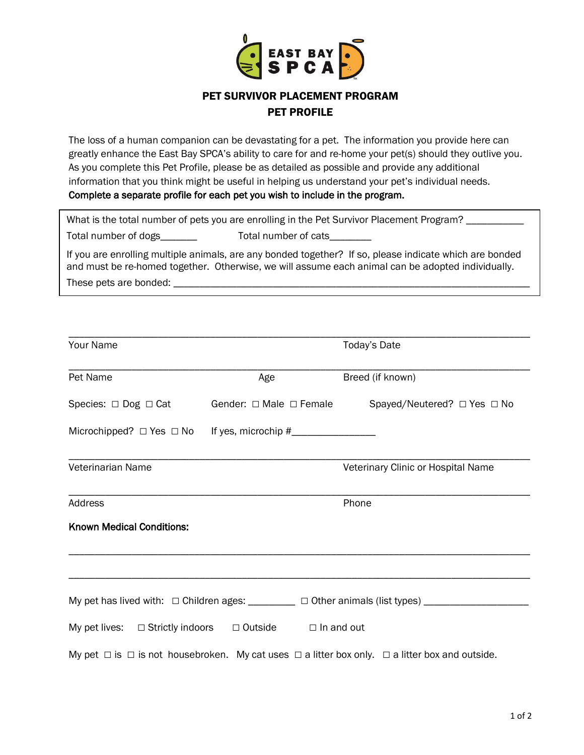

## PET SURVIVOR PLACEMENT PROGRAM PET PROFILE

The loss of a human companion can be devastating for a pet. The information you provide here can greatly enhance the East Bay SPCA's ability to care for and re-home your pet(s) should they outlive you. As you complete this Pet Profile, please be as detailed as possible and provide any additional information that you think might be useful in helping us understand your pet's individual needs. Complete a separate profile for each pet you wish to include in the program.

| What is the total number of pets you are enrolling in the Pet Survivor Placement Program? |                      |  |  |  |
|-------------------------------------------------------------------------------------------|----------------------|--|--|--|
| Total number of dogs                                                                      | Total number of cats |  |  |  |

If you are enrolling multiple animals, are any bonded together? If so, please indicate which are bonded and must be re-homed together. Otherwise, we will assume each animal can be adopted individually. These pets are bonded: \_\_\_\_\_\_\_\_\_\_\_\_\_\_\_\_\_\_\_\_\_\_\_\_\_\_\_\_\_\_\_\_\_\_\_\_\_\_\_\_\_\_\_\_\_\_\_\_\_\_\_\_\_\_\_\_\_\_\_\_\_\_\_\_\_\_\_\_

| <b>Your Name</b>                 |                                                                        | Today's Date                                                                                                       |  |  |
|----------------------------------|------------------------------------------------------------------------|--------------------------------------------------------------------------------------------------------------------|--|--|
| Pet Name                         | Age                                                                    | Breed (if known)                                                                                                   |  |  |
|                                  |                                                                        | Species: $\Box$ Dog $\Box$ Cat Gender: $\Box$ Male $\Box$ Female Spayed/Neutered? $\Box$ Yes $\Box$ No             |  |  |
|                                  |                                                                        |                                                                                                                    |  |  |
| Veterinarian Name                |                                                                        | Veterinary Clinic or Hospital Name                                                                                 |  |  |
| <b>Address</b>                   | Phone                                                                  |                                                                                                                    |  |  |
| <b>Known Medical Conditions:</b> |                                                                        |                                                                                                                    |  |  |
|                                  |                                                                        |                                                                                                                    |  |  |
|                                  |                                                                        | My pet has lived with: □ Children ages: ________ □ Other animals (list types) ________________                     |  |  |
|                                  | My pet lives: $\Box$ Strictly indoors $\Box$ Outside $\Box$ In and out |                                                                                                                    |  |  |
|                                  |                                                                        | My pet $\Box$ is $\Box$ is not housebroken. My cat uses $\Box$ a litter box only. $\Box$ a litter box and outside. |  |  |